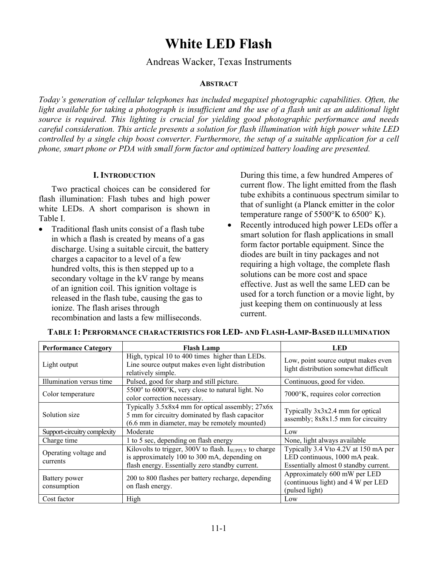# **White LED Flash**

Andreas Wacker, Texas Instruments

## **ABSTRACT**

*Today's generation of cellular telephones has included megapixel photographic capabilities. Often, the light available for taking a photograph is insufficient and the use of a flash unit as an additional light source is required. This lighting is crucial for yielding good photographic performance and needs careful consideration. This article presents a solution for flash illumination with high power white LED controlled by a single chip boost converter. Furthermore, the setup of a suitable application for a cell phone, smart phone or PDA with small form factor and optimized battery loading are presented.* 

## **I. INTRODUCTION**

Two practical choices can be considered for flash illumination: Flash tubes and high power white LEDs. A short comparison is shown in Table I.

• Traditional flash units consist of a flash tube in which a flash is created by means of a gas discharge. Using a suitable circuit, the battery charges a capacitor to a level of a few hundred volts, this is then stepped up to a secondary voltage in the kV range by means of an ignition coil. This ignition voltage is released in the flash tube, causing the gas to ionize. The flash arises through recombination and lasts a few milliseconds.

During this time, a few hundred Amperes of current flow. The light emitted from the flash tube exhibits a continuous spectrum similar to that of sunlight (a Planck emitter in the color temperature range of 5500°K to 6500° K).

Recently introduced high power LEDs offer a smart solution for flash applications in small form factor portable equipment. Since the diodes are built in tiny packages and not requiring a high voltage, the complete flash solutions can be more cost and space effective. Just as well the same LED can be used for a torch function or a movie light, by just keeping them on continuously at less current.

| <b>Performance Category</b>       | <b>Flash Lamp</b>                                                                                                                                               | LED                                                                                                            |  |
|-----------------------------------|-----------------------------------------------------------------------------------------------------------------------------------------------------------------|----------------------------------------------------------------------------------------------------------------|--|
| Light output                      | High, typical 10 to 400 times higher than LEDs.<br>Line source output makes even light distribution<br>relatively simple.                                       | Low, point source output makes even<br>light distribution somewhat difficult                                   |  |
| Illumination versus time          | Pulsed, good for sharp and still picture.                                                                                                                       | Continuous, good for video.                                                                                    |  |
| Color temperature                 | 5500° to 6000°K, very close to natural light. No<br>color correction necessary.                                                                                 | 7000°K, requires color correction                                                                              |  |
| Solution size                     | Typically 3.5x8x4 mm for optical assembly; 27x6x<br>5 mm for circuitry dominated by flash capacitor<br>(6.6 mm in diameter, may be remotely mounted)            | Typically $3x3x2.4$ mm for optical<br>assembly; 8x8x1.5 mm for circuitry                                       |  |
| Support-circuitry complexity      | Moderate                                                                                                                                                        | Low                                                                                                            |  |
| Charge time                       | 1 to 5 sec, depending on flash energy                                                                                                                           | None, light always available                                                                                   |  |
| Operating voltage and<br>currents | Kilovolts to trigger, 300V to flash. $I_{SUPPI,Y}$ to charge<br>is approximately 100 to 300 mA, depending on<br>flash energy. Essentially zero standby current. | Typically 3.4 Vto 4.2V at 150 mA per<br>LED continuous, 1000 mA peak.<br>Essentially almost 0 standby current. |  |
| Battery power<br>consumption      | 200 to 800 flashes per battery recharge, depending<br>on flash energy.                                                                                          | Approximately 600 mW per LED<br>(continuous light) and 4 W per LED<br>(pulsed light)                           |  |
| Cost factor                       | High                                                                                                                                                            | Low                                                                                                            |  |

## **TABLE 1: PERFORMANCE CHARACTERISTICS FOR LED- AND FLASH-LAMP-BASED ILLUMINATION**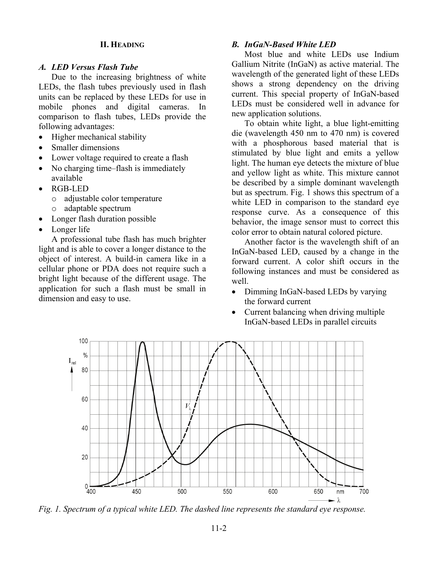## **II. HEADING**

### *A. LED Versus Flash Tube*

Due to the increasing brightness of white LEDs, the flash tubes previously used in flash units can be replaced by these LEDs for use in mobile phones and digital cameras. In comparison to flash tubes, LEDs provide the following advantages:

- Higher mechanical stability
- Smaller dimensions
- Lower voltage required to create a flash
- No charging time–flash is immediately available
- RGB-LED
	- o adjustable color temperature
	- o adaptable spectrum
- Longer flash duration possible
- Longer life

A professional tube flash has much brighter light and is able to cover a longer distance to the object of interest. A build-in camera like in a cellular phone or PDA does not require such a bright light because of the different usage. The application for such a flash must be small in dimension and easy to use.

## *B. InGaN-Based White LED*

Most blue and white LEDs use Indium Gallium Nitrite (InGaN) as active material. The wavelength of the generated light of these LEDs shows a strong dependency on the driving current. This special property of InGaN-based LEDs must be considered well in advance for new application solutions.

To obtain white light, a blue light-emitting die (wavelength 450 nm to 470 nm) is covered with a phosphorous based material that is stimulated by blue light and emits a yellow light. The human eye detects the mixture of blue and yellow light as white. This mixture cannot be described by a simple dominant wavelength but as spectrum. Fig. 1 shows this spectrum of a white LED in comparison to the standard eye response curve. As a consequence of this behavior, the image sensor must to correct this color error to obtain natural colored picture.

Another factor is the wavelength shift of an InGaN-based LED, caused by a change in the forward current. A color shift occurs in the following instances and must be considered as well.

- Dimming InGaN-based LEDs by varying the forward current
- Current balancing when driving multiple InGaN-based LEDs in parallel circuits



*Fig. 1. Spectrum of a typical white LED. The dashed line represents the standard eye response.*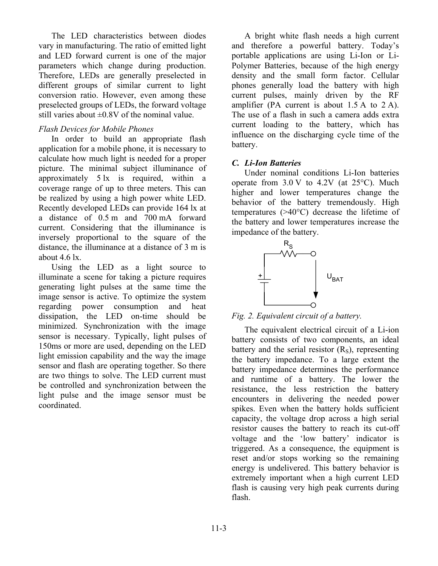The LED characteristics between diodes vary in manufacturing. The ratio of emitted light and LED forward current is one of the major parameters which change during production. Therefore, LEDs are generally preselected in different groups of similar current to light conversion ratio. However, even among these preselected groups of LEDs, the forward voltage still varies about  $\pm 0.8V$  of the nominal value.

## *Flash Devices for Mobile Phones*

In order to build an appropriate flash application for a mobile phone, it is necessary to calculate how much light is needed for a proper picture. The minimal subject illuminance of approximately 5 lx is required, within a coverage range of up to three meters. This can be realized by using a high power white LED. Recently developed LEDs can provide 164 lx at a distance of 0.5 m and 700 mA forward current. Considering that the illuminance is inversely proportional to the square of the distance, the illuminance at a distance of 3 m is about  $4.6 \text{ lx}$ .

Using the LED as a light source to illuminate a scene for taking a picture requires generating light pulses at the same time the image sensor is active. To optimize the system regarding power consumption and heat dissipation, the LED on-time should be minimized. Synchronization with the image sensor is necessary. Typically, light pulses of 150ms or more are used, depending on the LED light emission capability and the way the image sensor and flash are operating together. So there are two things to solve. The LED current must be controlled and synchronization between the light pulse and the image sensor must be coordinated.

A bright white flash needs a high current and therefore a powerful battery. Today's portable applications are using Li-Ion or Li-Polymer Batteries, because of the high energy density and the small form factor. Cellular phones generally load the battery with high current pulses, mainly driven by the RF amplifier (PA current is about 1.5 A to 2 A). The use of a flash in such a camera adds extra current loading to the battery, which has influence on the discharging cycle time of the battery.

# *C. Li-Ion Batteries*

Under nominal conditions Li-Ion batteries operate from  $3.0 \text{ V}$  to  $4.2 \text{ V}$  (at  $25^{\circ}$ C). Much higher and lower temperatures change the behavior of the battery tremendously. High temperatures (>40°C) decrease the lifetime of the battery and lower temperatures increase the impedance of the battery.



*Fig. 2. Equivalent circuit of a battery.* 

The equivalent electrical circuit of a Li-ion battery consists of two components, an ideal battery and the serial resistor  $(R<sub>S</sub>)$ , representing the battery impedance. To a large extent the battery impedance determines the performance and runtime of a battery. The lower the resistance, the less restriction the battery encounters in delivering the needed power spikes. Even when the battery holds sufficient capacity, the voltage drop across a high serial resistor causes the battery to reach its cut-off voltage and the 'low battery' indicator is triggered. As a consequence, the equipment is reset and/or stops working so the remaining energy is undelivered. This battery behavior is extremely important when a high current LED flash is causing very high peak currents during flash.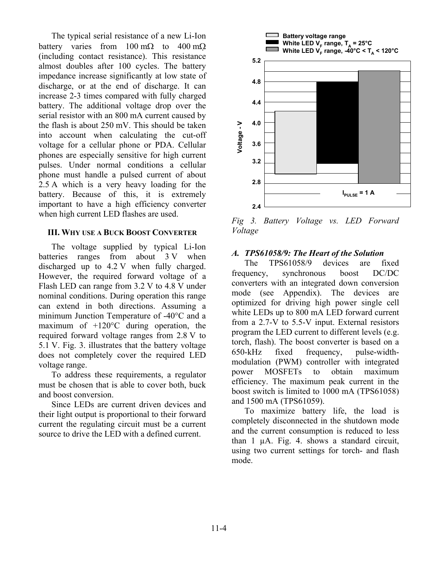The typical serial resistance of a new Li-Ion battery varies from  $100 \text{ m}\Omega$  to  $400 \text{ m}\Omega$ (including contact resistance). This resistance almost doubles after 100 cycles. The battery impedance increase significantly at low state of discharge, or at the end of discharge. It can increase 2-3 times compared with fully charged battery. The additional voltage drop over the serial resistor with an 800 mA current caused by the flash is about 250 mV. This should be taken into account when calculating the cut-off voltage for a cellular phone or PDA. Cellular phones are especially sensitive for high current pulses. Under normal conditions a cellular phone must handle a pulsed current of about 2.5 A which is a very heavy loading for the battery. Because of this, it is extremely important to have a high efficiency converter when high current LED flashes are used.

## **III. WHY USE A BUCK BOOST CONVERTER**

The voltage supplied by typical Li-Ion batteries ranges from about 3 V when discharged up to 4.2 V when fully charged. However, the required forward voltage of a Flash LED can range from 3.2 V to 4.8 V under nominal conditions. During operation this range can extend in both directions. Assuming a minimum Junction Temperature of -40°C and a maximum of +120°C during operation, the required forward voltage ranges from 2.8 V to 5.1 V. Fig. 3. illustrates that the battery voltage does not completely cover the required LED voltage range.

To address these requirements, a regulator must be chosen that is able to cover both, buck and boost conversion.

Since LEDs are current driven devices and their light output is proportional to their forward current the regulating circuit must be a current source to drive the LED with a defined current.



*Fig 3. Battery Voltage vs. LED Forward Voltage* 

## *A. TPS61058/9: The Heart of the Solution*

The TPS61058/9 devices are fixed frequency, synchronous boost DC/DC converters with an integrated down conversion mode (see Appendix). The devices are optimized for driving high power single cell white LEDs up to 800 mA LED forward current from a 2.7-V to 5.5-V input. External resistors program the LED current to different levels (e.g. torch, flash). The boost converter is based on a 650-kHz fixed frequency, pulse-widthmodulation (PWM) controller with integrated power MOSFETs to obtain maximum efficiency. The maximum peak current in the boost switch is limited to 1000 mA (TPS61058) and 1500 mA (TPS61059).

To maximize battery life, the load is completely disconnected in the shutdown mode and the current consumption is reduced to less than 1 µA. Fig. 4. shows a standard circuit, using two current settings for torch- and flash mode.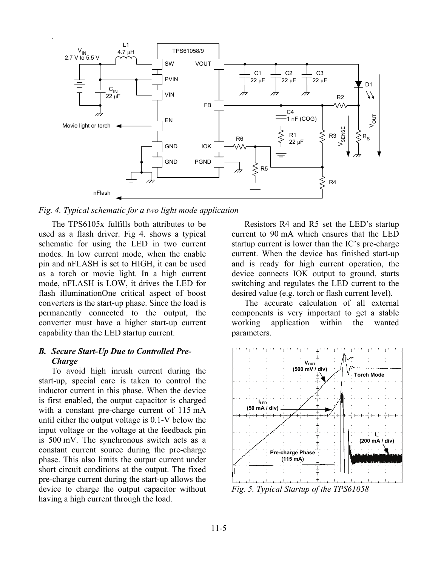

*Fig. 4. Typical schematic for a two light mode application* 

The TPS6105x fulfills both attributes to be used as a flash driver. Fig 4. shows a typical schematic for using the LED in two current modes. In low current mode, when the enable pin and nFLASH is set to HIGH, it can be used as a torch or movie light. In a high current mode, nFLASH is LOW, it drives the LED for flash illuminationOne critical aspect of boost converters is the start-up phase. Since the load is permanently connected to the output, the converter must have a higher start-up current capability than the LED startup current.

## *B. Secure Start-Up Due to Controlled Pre-Charge*

To avoid high inrush current during the start-up, special care is taken to control the inductor current in this phase. When the device is first enabled, the output capacitor is charged with a constant pre-charge current of 115 mA until either the output voltage is 0.1-V below the input voltage or the voltage at the feedback pin is 500 mV. The synchronous switch acts as a constant current source during the pre-charge phase. This also limits the output current under short circuit conditions at the output. The fixed pre-charge current during the start-up allows the device to charge the output capacitor without having a high current through the load.

Resistors R4 and R5 set the LED's startup current to 90 mA which ensures that the LED startup current is lower than the IC's pre-charge current. When the device has finished start-up and is ready for high current operation, the device connects IOK output to ground, starts switching and regulates the LED current to the desired value (e.g. torch or flash current level).

The accurate calculation of all external components is very important to get a stable working application within the wanted parameters.



*Fig. 5. Typical Startup of the TPS61058*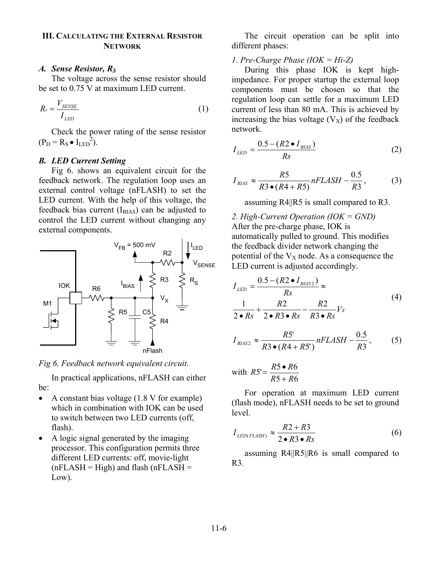## **III. CALCULATING THE EXTERNAL RESISTOR NETWORK**

## A. Sense Resistor, R<sub>S</sub>

The voltage across the sense resistor should be set to 0.75 V at maximum LED current.

$$
R_s = \frac{V_{\text{SENSE}}}{I_{\text{LED}}}
$$
\n<sup>(1)</sup>

Check the power rating of the sense resistor  $(P_D = R_S \bullet I_{LED}^2)$ .

## *B. LED Current Setting*

Fig 6. shows an equivalent circuit for the feedback network. The regulation loop uses an external control voltage (nFLASH) to set the LED current. With the help of this voltage, the feedback bias current  $(I_{\text{BIAS}})$  can be adjusted to control the LED current without changing any external components.



*Fig 6. Feedback network equivalent circuit.* 

In practical applications, nFLASH can either be:

- A constant bias voltage (1.8 V for example) which in combination with IOK can be used to switch between two LED currents (off, flash).
- A logic signal generated by the imaging processor. This configuration permits three different LED currents: off, movie-light  $(nFLASH = High)$  and flash  $(nFLASH =$ Low).

The circuit operation can be split into different phases:

## *1. Pre-Charge Phase (IOK = Hi-Z)*

During this phase IOK is kept highimpedance. For proper startup the external loop components must be chosen so that the regulation loop can settle for a maximum LED current of less than 80 mA. This is achieved by increasing the bias voltage  $(V_X)$  of the feedback network.

$$
I_{LED} = \frac{0.5 - (R2 \bullet I_{BIAS})}{Rs}
$$
 (2)

$$
I_{BIAS} \approx \frac{R5}{R3 \bullet (R4 + R5)} nFLASH - \frac{0.5}{R3},\tag{3}
$$

assuming R4||R5 is small compared to R3.

*2. High-Current Operation (IOK = GND)*  After the pre-charge phase, IOK is automatically pulled to ground. This modifies the feedback divider network changing the potential of the  $V_X$  node. As a consequence the LED current is adjusted accordingly.

$$
I_{LED} = \frac{0.5 - (R2 \bullet I_{BIAS2})}{Rs} \approx
$$
  

$$
\frac{1}{2 \bullet Rs} + \frac{R2}{2 \bullet R3 \bullet Rs} - \frac{R2}{R3 \bullet Rs} V_X
$$
(4)

$$
I_{BIAS2} \approx \frac{R5^{\prime}}{R3 \bullet (R4 + R5^{\prime})} nFLASH - \frac{0.5}{R3},\qquad(5)
$$

with 
$$
RS' = \frac{R5 \bullet R6}{R5 + R6}
$$

For operation at maximum LED current (flash mode), nFLASH needs to be set to ground level.

$$
I_{LED(FLASH)} \approx \frac{R2 + R3}{2 \cdot R3 \cdot Rs} \tag{6}
$$

assuming R4||R5||R6 is small compared to R3.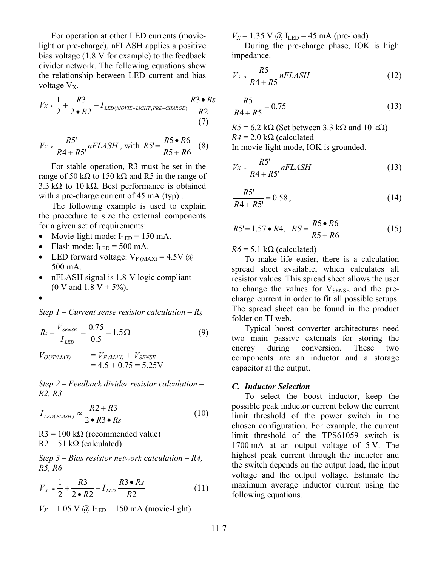For operation at other LED currents (movielight or pre-charge), nFLASH applies a positive bias voltage (1.8 V for example) to the feedback divider network. The following equations show the relationship between LED current and bias voltage  $V_{X}$ .

$$
V_X \approx \frac{1}{2} + \frac{R3}{2 \cdot R2} - I_{LED(MOVIE-LIGHT,PRE-CHARGE)} \frac{R3 \cdot Rs}{R2}
$$
\n(7)

$$
V_X \approx \frac{RS'}{R4 + R5'} nFLASH
$$
, with  $R5' = \frac{R5 \cdot R6}{R5 + R6}$  (8)

For stable operation, R3 must be set in the range of 50 kΩ to 150 kΩ and R5 in the range of 3.3 kΩ to 10 kΩ. Best performance is obtained with a pre-charge current of 45 mA (typ)...

The following example is used to explain the procedure to size the external components for a given set of requirements:

- Movie-light mode:  $I_{LED} = 150$  mA.
- Flash mode:  $I_{LED} = 500$  mA.
- LED forward voltage:  $V_{F (MAX)} = 4.5V (\hat{\omega})$ 500 mA.
- nFLASH signal is 1.8-V logic compliant (0 V and 1.8 V  $\pm$  5%).
- •

*Step 1 – Current sense resistor calculation – RS*

$$
R_s = \frac{V_{SENSE}}{I_{LED}} = \frac{0.75}{0.5} = 1.5 \,\Omega
$$
\n(9)

 $V_{OUT(MAX)} = V_{F(MAX)} + V_{SENSE}$  $= 4.5 + 0.75 = 5.25V$ 

*Step 2 – Feedback divider resistor calculation – R2, R3* 

$$
I_{LED(FLASH)} \approx \frac{R2 + R3}{2 \cdot R3 \cdot Rs} \tag{10}
$$

 $R3 = 100 \text{ k}\Omega$  (recommended value)  $R2 = 51 \text{ k}\Omega$  (calculated)

*Step 3 – Bias resistor network calculation – R4, R5, R6* 

$$
V_{X} \approx \frac{1}{2} + \frac{R3}{2 \cdot R2} - I_{LED} \frac{R3 \cdot Rs}{R2}
$$
 (11)

 $V_X = 1.05$  V @  $I_{LED} = 150$  mA (movie-light)

 $V_X$  = 1.35 V (a)  $I_{LED}$  = 45 mA (pre-load)

During the pre-charge phase, IOK is high impedance.

$$
V_X \approx \frac{R5}{R4 + R5} nFLASH \tag{12}
$$

$$
\frac{R5}{R4 + R5} = 0.75\tag{13}
$$

 $R5 = 6.2 \text{ k}\Omega$  (Set between 3.3 k $\Omega$  and 10 k $\Omega$ )  $R4 = 2.0 \text{ k}\Omega$  (calculated In movie-light mode, IOK is grounded.

*nFLASH R R*  $V_X \approx \frac{R}{R}$  $4 + R5'$  $\approx \frac{RS'}{R4 + RS'} nFLASH$  (13)

$$
\frac{R5'}{R4 + R5'} = 0.58\,,\tag{14}
$$

$$
RS' = 1.57 \bullet R4, \quad RS' = \frac{RS \bullet R6}{RS + R6} \tag{15}
$$

 $R6 = 5.1 \text{ k}\Omega$  (calculated)

To make life easier, there is a calculation spread sheet available, which calculates all resistor values. This spread sheet allows the user to change the values for  $V_{\text{SENSE}}$  and the precharge current in order to fit all possible setups. The spread sheet can be found in the product folder on TI web.

Typical boost converter architectures need two main passive externals for storing the energy during conversion. These two components are an inductor and a storage capacitor at the output.

#### *C. Inductor Selection*

To select the boost inductor, keep the possible peak inductor current below the current limit threshold of the power switch in the chosen configuration. For example, the current limit threshold of the TPS61059 switch is 1700 mA at an output voltage of 5 V. The highest peak current through the inductor and the switch depends on the output load, the input voltage and the output voltage. Estimate the maximum average inductor current using the following equations.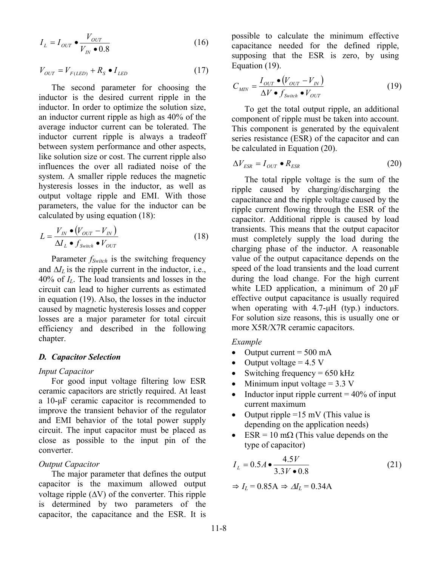$$
I_L = I_{OUT} \bullet \frac{V_{OUT}}{V_{IN} \bullet 0.8}
$$
 (16)

$$
V_{OUT} = V_{F(LED)} + R_S \bullet I_{LED}
$$
 (17)

The second parameter for choosing the inductor is the desired current ripple in the inductor. In order to optimize the solution size, an inductor current ripple as high as 40% of the average inductor current can be tolerated. The inductor current ripple is always a tradeoff between system performance and other aspects, like solution size or cost. The current ripple also influences the over all radiated noise of the system. A smaller ripple reduces the magnetic hysteresis losses in the inductor, as well as output voltage ripple and EMI. With those parameters, the value for the inductor can be calculated by using equation (18):

$$
L = \frac{V_{IN} \bullet (V_{OUT} - V_{IN})}{\Delta I_L \bullet f_{Switch} \bullet V_{OUT}} \tag{18}
$$

Parameter *f<sub>Switch</sub>* is the switching frequency and  $\Delta I_L$  is the ripple current in the inductor, i.e., 40% of *IL*. The load transients and losses in the circuit can lead to higher currents as estimated in equation (19). Also, the losses in the inductor caused by magnetic hysteresis losses and copper losses are a major parameter for total circuit efficiency and described in the following chapter.

#### *D. Capacitor Selection*

#### *Input Capacitor*

For good input voltage filtering low ESR ceramic capacitors are strictly required. At least a 10-μF ceramic capacitor is recommended to improve the transient behavior of the regulator and EMI behavior of the total power supply circuit. The input capacitor must be placed as close as possible to the input pin of the converter.

#### *Output Capacitor*

The major parameter that defines the output capacitor is the maximum allowed output voltage ripple  $(\Delta V)$  of the converter. This ripple is determined by two parameters of the capacitor, the capacitance and the ESR. It is

possible to calculate the minimum effective capacitance needed for the defined ripple, supposing that the ESR is zero, by using Equation (19).

$$
C_{MIN} = \frac{I_{OUT} \bullet (V_{OUT} - V_{IN})}{\Delta V \bullet f_{Switch} \bullet V_{OUT}} \tag{19}
$$

To get the total output ripple, an additional component of ripple must be taken into account. This component is generated by the equivalent series resistance (ESR) of the capacitor and can be calculated in Equation (20).

$$
\Delta V_{ESR} = I_{OUT} \bullet R_{ESR} \tag{20}
$$

The total ripple voltage is the sum of the ripple caused by charging/discharging the capacitance and the ripple voltage caused by the ripple current flowing through the ESR of the capacitor. Additional ripple is caused by load transients. This means that the output capacitor must completely supply the load during the charging phase of the inductor. A reasonable value of the output capacitance depends on the speed of the load transients and the load current during the load change. For the high current white LED application, a minimum of 20 μF effective output capacitance is usually required when operating with 4.7-μH (typ.) inductors. For solution size reasons, this is usually one or more X5R/X7R ceramic capacitors.

#### *Example*

- Output current  $= 500$  mA
- Output voltage  $= 4.5$  V
- Switching frequency  $= 650$  kHz
- Minimum input voltage  $= 3.3$  V
- Inductor input ripple current  $= 40\%$  of input current maximum
- Output ripple =15 mV (This value is depending on the application needs)
- ESR = 10 m $\Omega$  (This value depends on the type of capacitor)

$$
I_L = 0.5A \bullet \frac{4.5V}{3.3V \bullet 0.8}
$$
 (21)

$$
\Rightarrow I_L = 0.85 \text{A} \Rightarrow \Delta I_L = 0.34 \text{A}
$$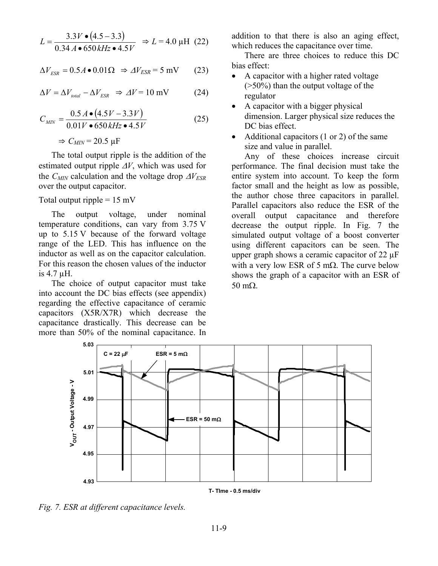$$
L = \frac{3.3V \cdot (4.5 - 3.3)}{0.34 A \cdot 650 kHz \cdot 4.5V} \Rightarrow L = 4.0 \text{ }\mu\text{H} \text{ (22)}
$$

$$
\Delta V_{ESR} = 0.5A \bullet 0.01\Omega \Rightarrow \Delta V_{ESR} = 5 \text{ mV} \tag{23}
$$

$$
\Delta V = \Delta V_{total} - \Delta V_{ESR} \Rightarrow \Delta V = 10 \text{ mV} \tag{24}
$$

$$
C_{MIN} = \frac{0.5 A \bullet (4.5V - 3.3V)}{0.01V \bullet 650 kHz \bullet 4.5V}
$$
 (25)

 $\Rightarrow$   $C_{MIN}$  = 20.5  $\mu$ F

The total output ripple is the addition of the estimated output ripple Δ*V*, which was used for the  $C_{MIN}$  calculation and the voltage drop  $\Delta V_{ESR}$ over the output capacitor.

Total output ripple  $= 15$  mV

The output voltage, under nominal temperature conditions, can vary from 3.75 V up to 5.15 V because of the forward voltage range of the LED. This has influence on the inductor as well as on the capacitor calculation. For this reason the chosen values of the inductor is 4.7 µH.

The choice of output capacitor must take into account the DC bias effects (see appendix) regarding the effective capacitance of ceramic capacitors (X5R/X7R) which decrease the capacitance drastically. This decrease can be more than 50% of the nominal capacitance. In

addition to that there is also an aging effect, which reduces the capacitance over time.

There are three choices to reduce this DC bias effect:

- A capacitor with a higher rated voltage (>50%) than the output voltage of the regulator
- A capacitor with a bigger physical dimension. Larger physical size reduces the DC bias effect.
- Additional capacitors (1 or 2) of the same size and value in parallel.

Any of these choices increase circuit performance. The final decision must take the entire system into account. To keep the form factor small and the height as low as possible, the author chose three capacitors in parallel. Parallel capacitors also reduce the ESR of the overall output capacitance and therefore decrease the output ripple. In Fig. 7 the simulated output voltage of a boost converter using different capacitors can be seen. The upper graph shows a ceramic capacitor of 22 µF with a very low ESR of 5 m $\Omega$ . The curve below shows the graph of a capacitor with an ESR of 50 mΩ.



*Fig. 7. ESR at different capacitance levels.*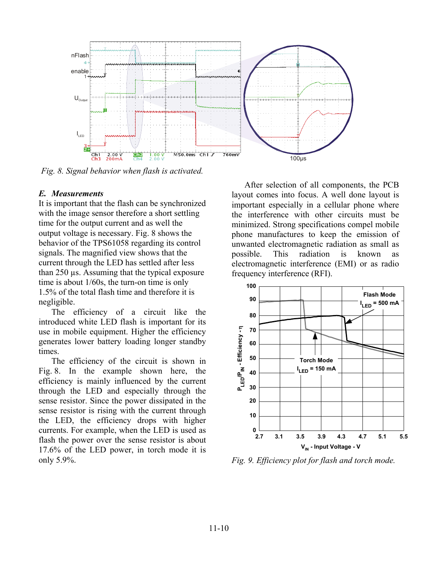

*Fig. 8. Signal behavior when flash is activated.* 

#### *E. Measurements*

It is important that the flash can be synchronized with the image sensor therefore a short settling time for the output current and as well the output voltage is necessary. Fig. 8 shows the behavior of the TPS61058 regarding its control signals. The magnified view shows that the current through the LED has settled after less than 250 µs. Assuming that the typical exposure time is about 1/60s, the turn-on time is only 1.5% of the total flash time and therefore it is negligible.

The efficiency of a circuit like the introduced white LED flash is important for its use in mobile equipment. Higher the efficiency generates lower battery loading longer standby times.

The efficiency of the circuit is shown in Fig. 8. In the example shown here, the efficiency is mainly influenced by the current through the LED and especially through the sense resistor. Since the power dissipated in the sense resistor is rising with the current through the LED, the efficiency drops with higher currents. For example, when the LED is used as flash the power over the sense resistor is about 17.6% of the LED power, in torch mode it is only 5.9%.

After selection of all components, the PCB layout comes into focus. A well done layout is important especially in a cellular phone where the interference with other circuits must be minimized. Strong specifications compel mobile phone manufactures to keep the emission of unwanted electromagnetic radiation as small as possible. This radiation is known as electromagnetic interference (EMI) or as radio frequency interference (RFI).



*Fig. 9. Efficiency plot for flash and torch mode.*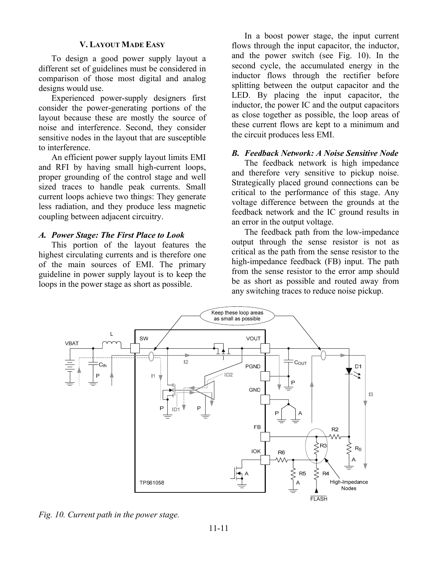#### **V. LAYOUT MADE EASY**

To design a good power supply layout a different set of guidelines must be considered in comparison of those most digital and analog designs would use.

Experienced power-supply designers first consider the power-generating portions of the layout because these are mostly the source of noise and interference. Second, they consider sensitive nodes in the layout that are susceptible to interference.

An efficient power supply layout limits EMI and RFI by having small high-current loops, proper grounding of the control stage and well sized traces to handle peak currents. Small current loops achieve two things: They generate less radiation, and they produce less magnetic coupling between adjacent circuitry.

#### *A. Power Stage: The First Place to Look*

This portion of the layout features the highest circulating currents and is therefore one of the main sources of EMI. The primary guideline in power supply layout is to keep the loops in the power stage as short as possible.

In a boost power stage, the input current flows through the input capacitor, the inductor, and the power switch (see Fig. 10). In the second cycle, the accumulated energy in the inductor flows through the rectifier before splitting between the output capacitor and the LED. By placing the input capacitor, the inductor, the power IC and the output capacitors as close together as possible, the loop areas of these current flows are kept to a minimum and the circuit produces less EMI.

#### *B. Feedback Network: A Noise Sensitive Node*

The feedback network is high impedance and therefore very sensitive to pickup noise. Strategically placed ground connections can be critical to the performance of this stage. Any voltage difference between the grounds at the feedback network and the IC ground results in an error in the output voltage.

The feedback path from the low-impedance output through the sense resistor is not as critical as the path from the sense resistor to the high-impedance feedback (FB) input. The path from the sense resistor to the error amp should be as short as possible and routed away from any switching traces to reduce noise pickup.



*Fig. 10. Current path in the power stage.*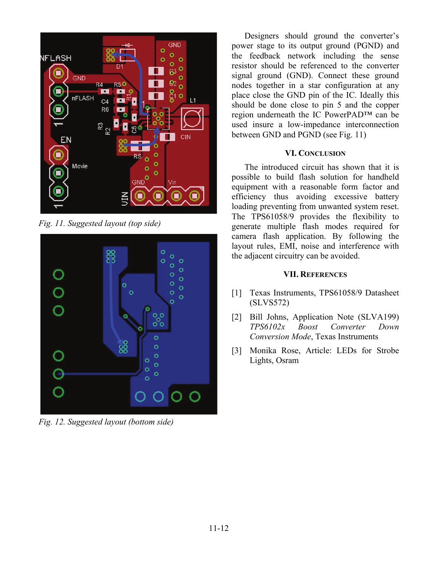

*Fig. 11. Suggested layout (top side)* 



*Fig. 12. Suggested layout (bottom side)* 

Designers should ground the converter's power stage to its output ground (PGND) and the feedback network including the sense resistor should be referenced to the converter signal ground (GND). Connect these ground nodes together in a star configuration at any place close the GND pin of the IC. Ideally this should be done close to pin 5 and the copper region underneath the IC PowerPAD™ can be used insure a low-impedance interconnection between GND and PGND (see Fig. 11)

# **VI. CONCLUSION**

The introduced circuit has shown that it is possible to build flash solution for handheld equipment with a reasonable form factor and efficiency thus avoiding excessive battery loading preventing from unwanted system reset. The TPS61058/9 provides the flexibility to generate multiple flash modes required for camera flash application. By following the layout rules, EMI, noise and interference with the adjacent circuitry can be avoided.

## **VII. REFERENCES**

- [1] Texas Instruments, TPS61058/9 Datasheet (SLVS572)
- [2] Bill Johns, Application Note (SLVA199) *TPS6102x Boost Converter Down Conversion Mode*, Texas Instruments
- [3] Monika Rose, Article: LEDs for Strobe Lights, Osram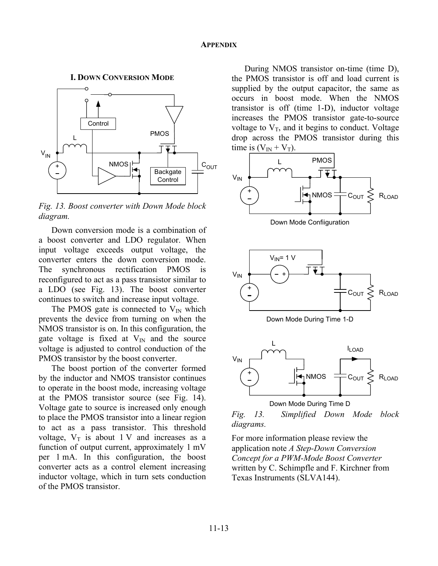**I. DOWN CONVERSION MODE**



*Fig. 13. Boost converter with Down Mode block diagram.* 

Down conversion mode is a combination of a boost converter and LDO regulator. When input voltage exceeds output voltage, the converter enters the down conversion mode. The synchronous rectification PMOS is reconfigured to act as a pass transistor similar to a LDO (see Fig. 13). The boost converter continues to switch and increase input voltage.

The PMOS gate is connected to  $V_{IN}$  which prevents the device from turning on when the NMOS transistor is on. In this configuration, the gate voltage is fixed at  $V_{\text{IN}}$  and the source voltage is adjusted to control conduction of the PMOS transistor by the boost converter.

The boost portion of the converter formed by the inductor and NMOS transistor continues to operate in the boost mode, increasing voltage at the PMOS transistor source (see Fig. 14). Voltage gate to source is increased only enough to place the PMOS transistor into a linear region to act as a pass transistor. This threshold voltage,  $V_T$  is about 1 V and increases as a function of output current, approximately 1 mV per 1 mA. In this configuration, the boost converter acts as a control element increasing inductor voltage, which in turn sets conduction of the PMOS transistor.

During NMOS transistor on-time (time D), the PMOS transistor is off and load current is supplied by the output capacitor, the same as occurs in boost mode. When the NMOS transistor is off (time 1-D), inductor voltage increases the PMOS transistor gate-to-source voltage to  $V_T$ , and it begins to conduct. Voltage drop across the PMOS transistor during this time is  $(V_{IN} + V_T)$ .



Down Mode Confiiguration







*Fig. 13. Simplified Down Mode block diagrams.* 

For more information please review the application note *A Step-Down Conversion Concept for a PWM-Mode Boost Converter* written by C. Schimpfle and F. Kirchner from Texas Instruments (SLVA144).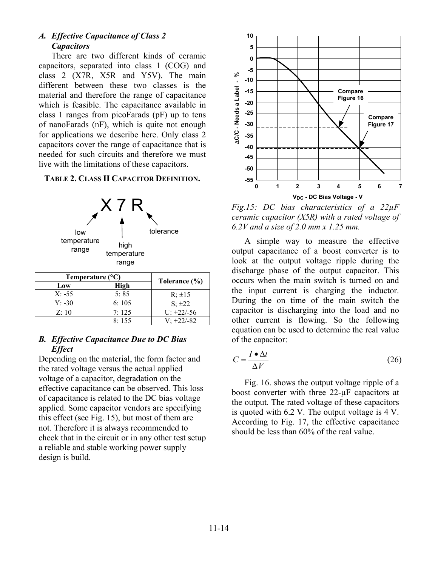# *A. Effective Capacitance of Class 2 Capacitors*

There are two different kinds of ceramic capacitors, separated into class 1 (COG) and class 2 (X7R, X5R and Y5V). The main different between these two classes is the material and therefore the range of capacitance which is feasible. The capacitance available in class 1 ranges from picoFarads (pF) up to tens of nanoFarads (nF), which is quite not enough for applications we describe here. Only class 2 capacitors cover the range of capacitance that is needed for such circuits and therefore we must live with the limitations of these capacitors.

## **TABLE 2. CLASS II CAPACITOR DEFINITION.**



| I emperature (°C) |               |               |  |
|-------------------|---------------|---------------|--|
| Low               | High          | Tolerance (%) |  |
| $X: -55$          | 5:85          | $R: \pm 15$   |  |
| $Y: -30$          | 6:105         | $S: \pm 22$   |  |
| Z:10              | $7 \cdot 125$ | $U: +22/-56$  |  |
|                   | 8:155         | $V: +22/-82$  |  |

## *B. Effective Capacitance Due to DC Bias Effect*

Depending on the material, the form factor and the rated voltage versus the actual applied voltage of a capacitor, degradation on the effective capacitance can be observed. This loss of capacitance is related to the DC bias voltage applied. Some capacitor vendors are specifying this effect (see Fig. 15), but most of them are not. Therefore it is always recommended to check that in the circuit or in any other test setup a reliable and stable working power supply design is build.



*Fig.15: DC bias characteristics of a 22µF ceramic capacitor (X5R) with a rated voltage of 6.2V and a size of 2.0 mm x 1.25 mm.* 

A simple way to measure the effective output capacitance of a boost converter is to look at the output voltage ripple during the discharge phase of the output capacitor. This occurs when the main switch is turned on and the input current is charging the inductor. During the on time of the main switch the capacitor is discharging into the load and no other current is flowing. So the following equation can be used to determine the real value of the capacitor:

$$
C = \frac{I \bullet \Delta t}{\Delta V} \tag{26}
$$

Fig. 16. shows the output voltage ripple of a boost converter with three 22-µF capacitors at the output. The rated voltage of these capacitors is quoted with 6.2 V. The output voltage is 4 V. According to Fig. 17, the effective capacitance should be less than 60% of the real value.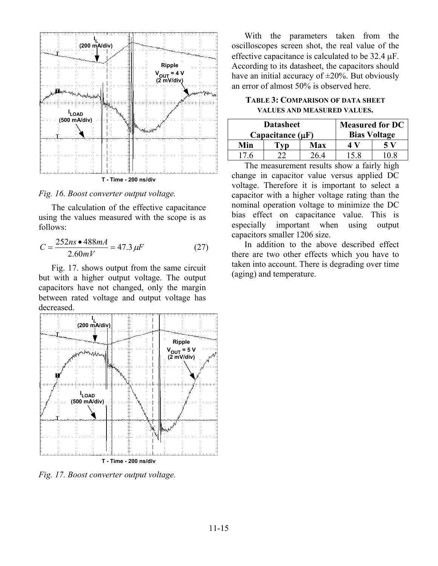

*Fig. 16. Boost converter output voltage.* 

The calculation of the effective capacitance using the values measured with the scope is as follows:

$$
C = \frac{252ns \cdot 488mA}{2.60mV} = 47.3 \,\mu\text{F} \tag{27}
$$

Fig. 17. shows output from the same circuit but with a higher output voltage. The output capacitors have not changed, only the margin between rated voltage and output voltage has decreased.



*Fig. 17. Boost converter output voltage.* 

With the parameters taken from the oscilloscopes screen shot, the real value of the effective capacitance is calculated to be 32.4 μF. According to its datasheet, the capacitors should have an initial accuracy of  $\pm 20\%$ . But obviously an error of almost 50% is observed here.

## **TABLE 3: COMPARISON OF DATA SHEET VALUES AND MEASURED VALUES.**

| <b>Datasheet</b>      |  |                     | <b>Measured for DC</b> |     |
|-----------------------|--|---------------------|------------------------|-----|
| Capacitance $(\mu F)$ |  | <b>Bias Voltage</b> |                        |     |
| Min                   |  | Max                 |                        | 5 V |
| 17 6                  |  | 26 4                | 15.8                   |     |

The measurement results show a fairly high change in capacitor value versus applied DC voltage. Therefore it is important to select a capacitor with a higher voltage rating than the nominal operation voltage to minimize the DC bias effect on capacitance value. This is especially important when using output capacitors smaller 1206 size.

In addition to the above described effect there are two other effects which you have to taken into account. There is degrading over time (aging) and temperature.